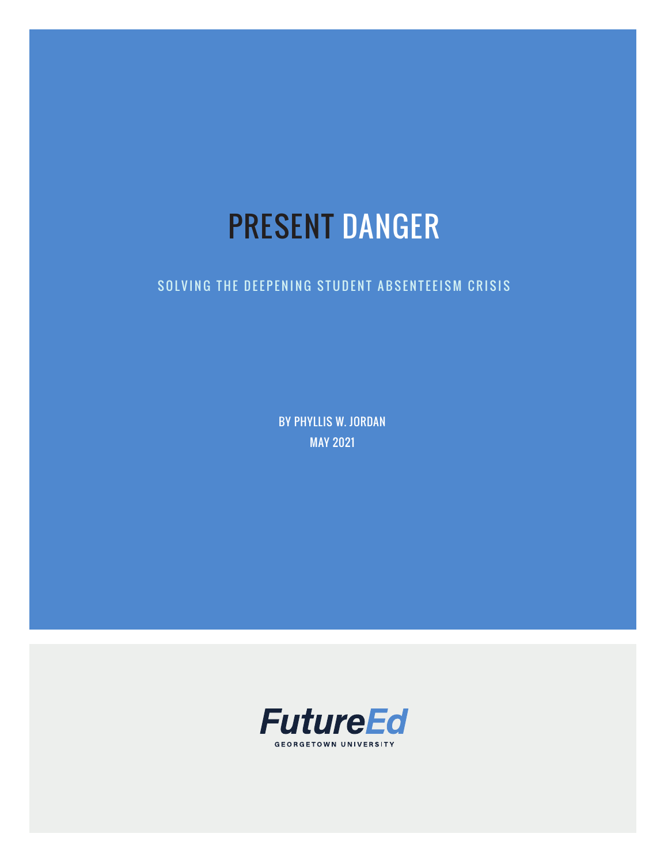# PRESENT DANGER

#### SOLVING THE DEEPENING STUDENT ABSENTEEISM CRISIS

BY PHYLLIS W. JORDAN MAY 2021

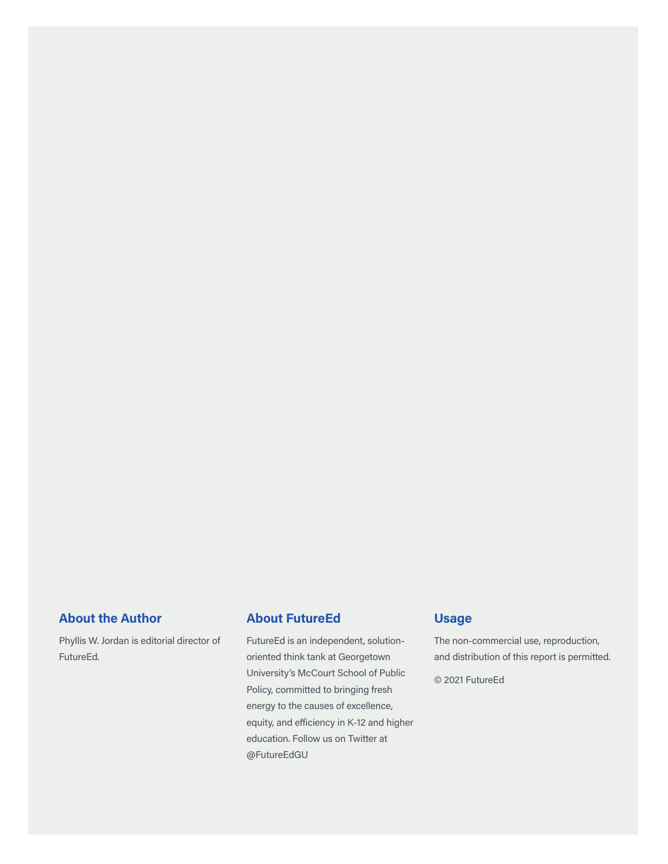#### **About the Author**

Phyllis W. Jordan is editorial director of FutureEd.

#### **About FutureEd**

FutureEd is an independent, solutionoriented think tank at Georgetown University's McCourt School of Public Policy, committed to bringing fresh energy to the causes of excellence, equity, and efficiency in K-12 and higher education. Follow us on Twitter at @FutureEdGU

#### **Usage**

The non-commercial use, reproduction, and distribution of this report is permitted.

© 2021 FutureEd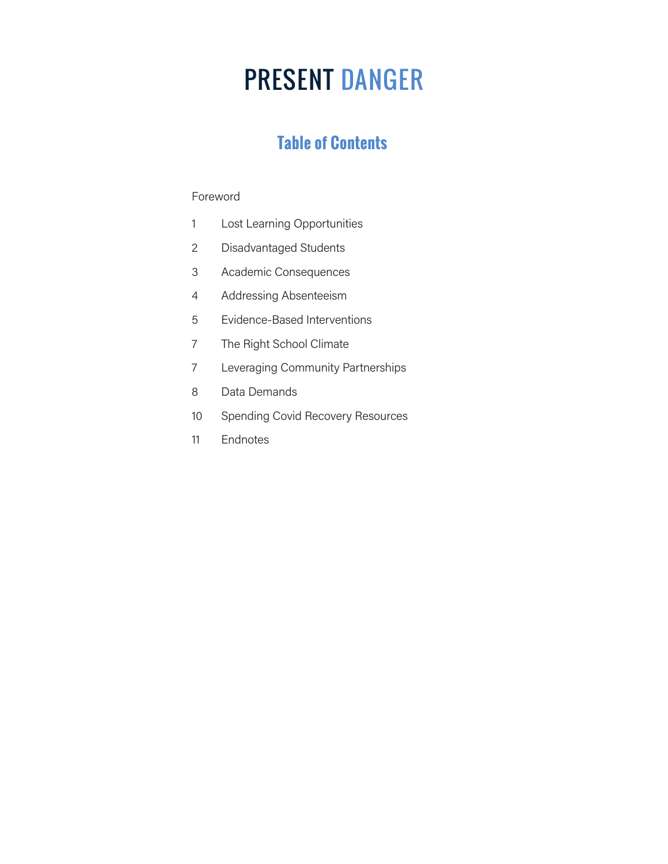# PRESENT DANGER

## **Table of Contents**

#### Foreword

- 1 Lost Learning Opportunities
- 2 Disadvantaged Students
- 3 Academic Consequences
- 4 Addressing Absenteeism
- 5 Evidence-Based Interventions
- 7 The Right School Climate
- 7 Leveraging Community Partnerships
- 8 Data Demands
- 10 Spending Covid Recovery Resources
- 11 Endnotes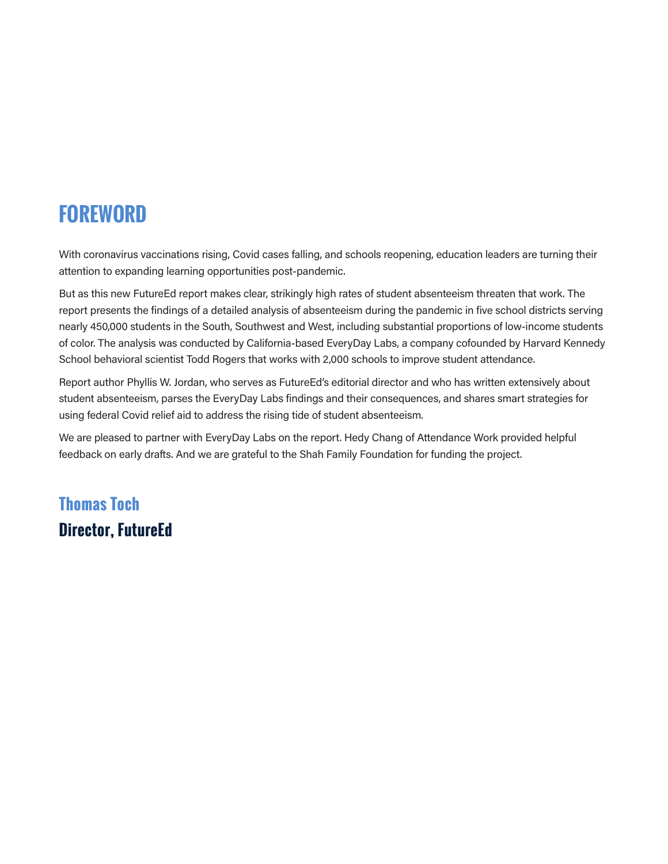# **FOREWORD**

With coronavirus vaccinations rising, Covid cases falling, and schools reopening, education leaders are turning their attention to expanding learning opportunities post-pandemic.

But as this new FutureEd report makes clear, strikingly high rates of student absenteeism threaten that work. The report presents the findings of a detailed analysis of absenteeism during the pandemic in five school districts serving nearly 450,000 students in the South, Southwest and West, including substantial proportions of low-income students of color. The analysis was conducted by California-based EveryDay Labs, a company cofounded by Harvard Kennedy School behavioral scientist Todd Rogers that works with 2,000 schools to improve student attendance.

Report author Phyllis W. Jordan, who serves as FutureEd's editorial director and who has written extensively about student absenteeism, parses the EveryDay Labs findings and their consequences, and shares smart strategies for using federal Covid relief aid to address the rising tide of student absenteeism.

We are pleased to partner with EveryDay Labs on the report. Hedy Chang of Attendance Work provided helpful feedback on early drafts. And we are grateful to the Shah Family Foundation for funding the project.

## **Thomas Toch Director, FutureEd**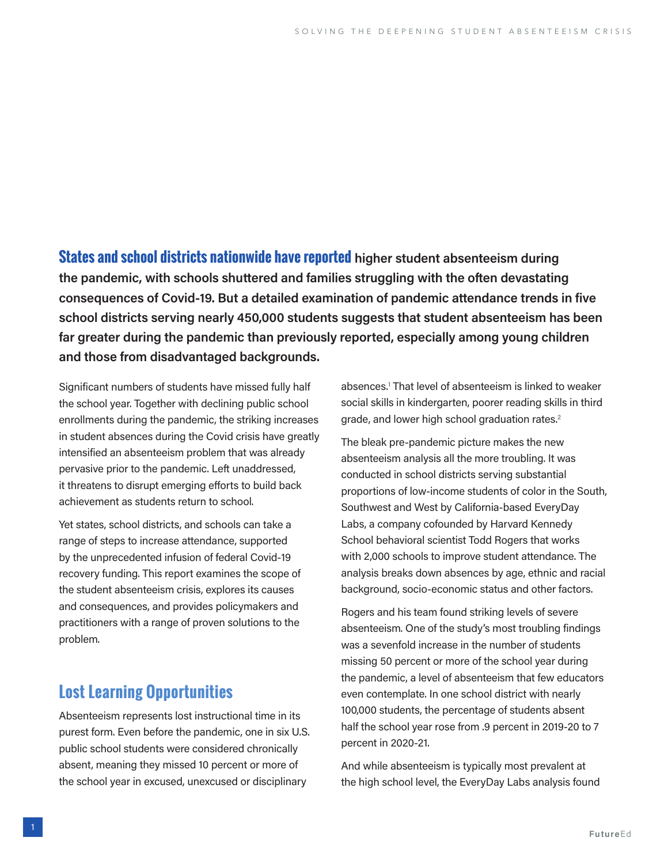**States and school districts nationwide have reported higher student absenteeism during the pandemic, with schools shuttered and families struggling with the often devastating consequences of Covid-19. But a detailed examination of pandemic attendance trends in five school districts serving nearly 450,000 students suggests that student absenteeism has been far greater during the pandemic than previously reported, especially among young children and those from disadvantaged backgrounds.** 

Significant numbers of students have missed fully half the school year. Together with declining public school enrollments during the pandemic, the striking increases in student absences during the Covid crisis have greatly intensified an absenteeism problem that was already pervasive prior to the pandemic. Left unaddressed, it threatens to disrupt emerging efforts to build back achievement as students return to school.

Yet states, school districts, and schools can take a range of steps to increase attendance, supported by the unprecedented infusion of federal Covid-19 recovery funding. This report examines the scope of the student absenteeism crisis, explores its causes and consequences, and provides policymakers and practitioners with a range of proven solutions to the problem.

### **Lost Learning Opportunities**

Absenteeism represents lost instructional time in its purest form. Even before the pandemic, one in six U.S. public school students were considered chronically absent, meaning they missed 10 percent or more of the school year in excused, unexcused or disciplinary

absences.<sup>1</sup> That level of absenteeism is linked to weaker social skills in kindergarten, poorer reading skills in third grade, and lower high school graduation rates.<sup>2</sup>

The bleak pre-pandemic picture makes the new absenteeism analysis all the more troubling. It was conducted in school districts serving substantial proportions of low-income students of color in the South, Southwest and West by California-based EveryDay Labs, a company cofounded by Harvard Kennedy School behavioral scientist Todd Rogers that works with 2,000 schools to improve student attendance. The analysis breaks down absences by age, ethnic and racial background, socio-economic status and other factors.

Rogers and his team found striking levels of severe absenteeism. One of the study's most troubling findings was a sevenfold increase in the number of students missing 50 percent or more of the school year during the pandemic, a level of absenteeism that few educators even contemplate. In one school district with nearly 100,000 students, the percentage of students absent half the school year rose from .9 percent in 2019-20 to 7 percent in 2020-21.

And while absenteeism is typically most prevalent at the high school level, the EveryDay Labs analysis found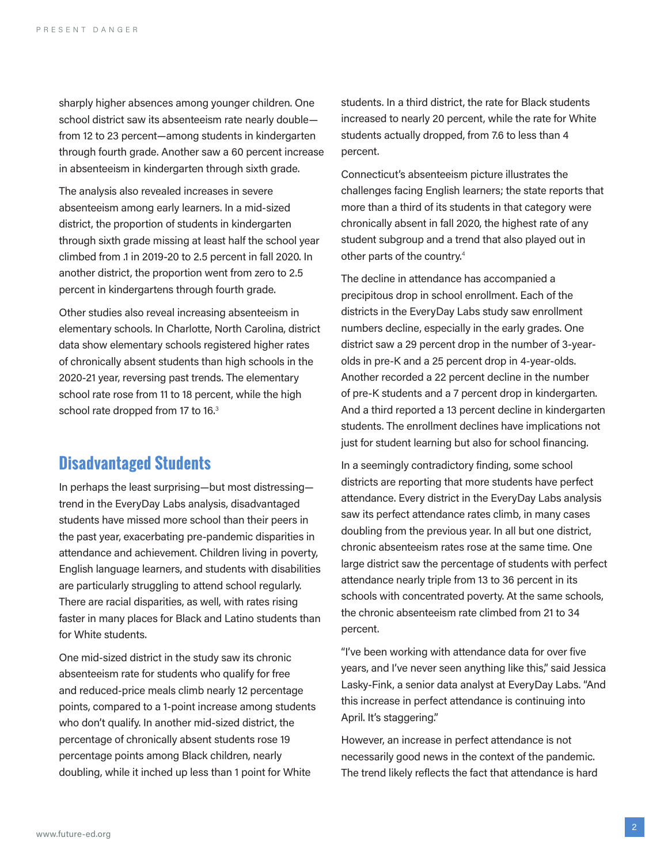sharply higher absences among younger children. One school district saw its absenteeism rate nearly double from 12 to 23 percent—among students in kindergarten through fourth grade. Another saw a 60 percent increase in absenteeism in kindergarten through sixth grade.

The analysis also revealed increases in severe absenteeism among early learners. In a mid-sized district, the proportion of students in kindergarten through sixth grade missing at least half the school year climbed from .1 in 2019-20 to 2.5 percent in fall 2020. In another district, the proportion went from zero to 2.5 percent in kindergartens through fourth grade.

Other studies also reveal increasing absenteeism in elementary schools. In Charlotte, North Carolina, district data show elementary schools registered higher rates of chronically absent students than high schools in the 2020-21 year, reversing past trends. The elementary school rate rose from 11 to 18 percent, while the high school rate dropped from 17 to 16.<sup>3</sup>

#### **Disadvantaged Students**

In perhaps the least surprising—but most distressing trend in the EveryDay Labs analysis, disadvantaged students have missed more school than their peers in the past year, exacerbating pre-pandemic disparities in attendance and achievement. Children living in poverty, English language learners, and students with disabilities are particularly struggling to attend school regularly. There are racial disparities, as well, with rates rising faster in many places for Black and Latino students than for White students.

One mid-sized district in the study saw its chronic absenteeism rate for students who qualify for free and reduced-price meals climb nearly 12 percentage points, compared to a 1-point increase among students who don't qualify. In another mid-sized district, the percentage of chronically absent students rose 19 percentage points among Black children, nearly doubling, while it inched up less than 1 point for White

students. In a third district, the rate for Black students increased to nearly 20 percent, while the rate for White students actually dropped, from 7.6 to less than 4 percent.

Connecticut's absenteeism picture illustrates the challenges facing English learners; the state reports that more than a third of its students in that category were chronically absent in fall 2020, the highest rate of any student subgroup and a trend that also played out in other parts of the country.<sup>4</sup>

The decline in attendance has accompanied a precipitous drop in school enrollment. Each of the districts in the EveryDay Labs study saw enrollment numbers decline, especially in the early grades. One district saw a 29 percent drop in the number of 3-yearolds in pre-K and a 25 percent drop in 4-year-olds. Another recorded a 22 percent decline in the number of pre-K students and a 7 percent drop in kindergarten. And a third reported a 13 percent decline in kindergarten students. The enrollment declines have implications not just for student learning but also for school financing.

In a seemingly contradictory finding, some school districts are reporting that more students have perfect attendance. Every district in the EveryDay Labs analysis saw its perfect attendance rates climb, in many cases doubling from the previous year. In all but one district, chronic absenteeism rates rose at the same time. One large district saw the percentage of students with perfect attendance nearly triple from 13 to 36 percent in its schools with concentrated poverty. At the same schools, the chronic absenteeism rate climbed from 21 to 34 percent.

"I've been working with attendance data for over five years, and I've never seen anything like this," said Jessica Lasky-Fink, a senior data analyst at EveryDay Labs. "And this increase in perfect attendance is continuing into April. It's staggering."

However, an increase in perfect attendance is not necessarily good news in the context of the pandemic. The trend likely reflects the fact that attendance is hard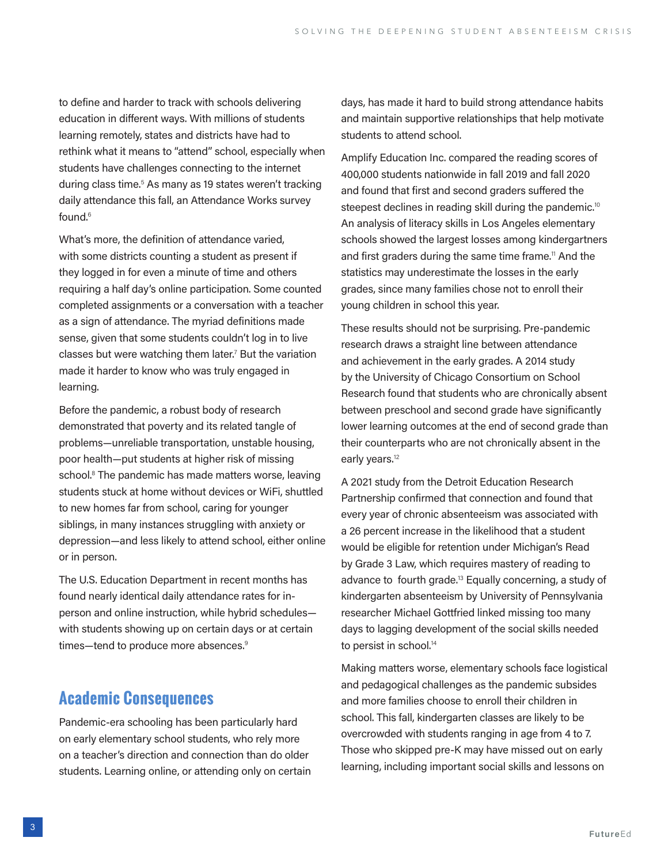to define and harder to track with schools delivering education in different ways. With millions of students learning remotely, states and districts have had to rethink what it means to "attend" school, especially when students have challenges connecting to the internet during class time.<sup>5</sup> As many as 19 states weren't tracking daily attendance this fall, an Attendance Works survey found.<sup>6</sup>

What's more, the definition of attendance varied, with some districts counting a student as present if they logged in for even a minute of time and others requiring a half day's online participation. Some counted completed assignments or a conversation with a teacher as a sign of attendance. The myriad definitions made sense, given that some students couldn't log in to live classes but were watching them later.<sup>7</sup> But the variation made it harder to know who was truly engaged in learning.

Before the pandemic, a robust body of research demonstrated that poverty and its related tangle of problems—unreliable transportation, unstable housing, poor health—put students at higher risk of missing school.<sup>8</sup> The pandemic has made matters worse, leaving students stuck at home without devices or WiFi, shuttled to new homes far from school, caring for younger siblings, in many instances struggling with anxiety or depression—and less likely to attend school, either online or in person.

The U.S. Education Department in recent months has found nearly identical daily attendance rates for inperson and online instruction, while hybrid schedules with students showing up on certain days or at certain times—tend to produce more absences.<sup>9</sup>

#### **Academic Consequences**

Pandemic-era schooling has been particularly hard on early elementary school students, who rely more on a teacher's direction and connection than do older students. Learning online, or attending only on certain days, has made it hard to build strong attendance habits and maintain supportive relationships that help motivate students to attend school.

Amplify Education Inc. compared the reading scores of 400,000 students nationwide in fall 2019 and fall 2020 and found that first and second graders suffered the steepest declines in reading skill during the pandemic.<sup>10</sup> An analysis of literacy skills in Los Angeles elementary schools showed the largest losses among kindergartners and first graders during the same time frame.<sup>11</sup> And the statistics may underestimate the losses in the early grades, since many families chose not to enroll their young children in school this year.

These results should not be surprising. Pre-pandemic research draws a straight line between attendance and achievement in the early grades. A 2014 study by the University of Chicago Consortium on School Research found that students who are chronically absent between preschool and second grade have significantly lower learning outcomes at the end of second grade than their counterparts who are not chronically absent in the early years.<sup>12</sup>

A 2021 study from the Detroit Education Research Partnership confirmed that connection and found that every year of chronic absenteeism was associated with a 26 percent increase in the likelihood that a student would be eligible for retention under Michigan's Read by Grade 3 Law, which requires mastery of reading to advance to fourth grade.13 Equally concerning, a study of kindergarten absenteeism by University of Pennsylvania researcher Michael Gottfried linked missing too many days to lagging development of the social skills needed to persist in school.<sup>14</sup>

Making matters worse, elementary schools face logistical and pedagogical challenges as the pandemic subsides and more families choose to enroll their children in school. This fall, kindergarten classes are likely to be overcrowded with students ranging in age from 4 to 7. Those who skipped pre-K may have missed out on early learning, including important social skills and lessons on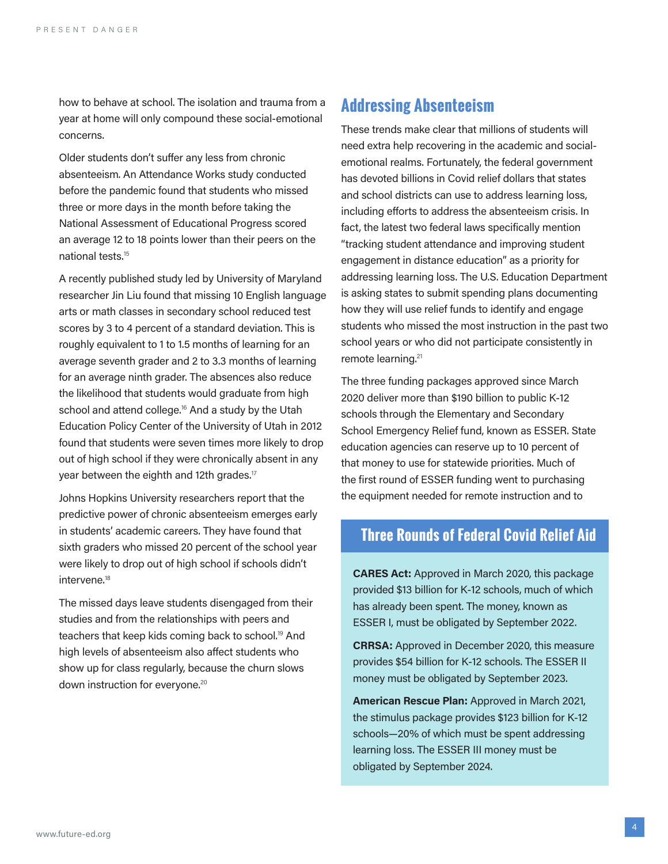how to behave at school. The isolation and trauma from a year at home will only compound these social-emotional concerns.

Older students don't suffer any less from chronic absenteeism. An Attendance Works study conducted before the pandemic found that students who missed three or more days in the month before taking the National Assessment of Educational Progress scored an average 12 to 18 points lower than their peers on the national tests.<sup>15</sup>

A recently published study led by University of Maryland researcher Jin Liu found that missing 10 English language arts or math classes in secondary school reduced test scores by 3 to 4 percent of a standard deviation. This is roughly equivalent to 1 to 1.5 months of learning for an average seventh grader and 2 to 3.3 months of learning for an average ninth grader. The absences also reduce the likelihood that students would graduate from high school and attend college.<sup>16</sup> And a study by the Utah Education Policy Center of the University of Utah in 2012 found that students were seven times more likely to drop out of high school if they were chronically absent in any year between the eighth and 12th grades.<sup>17</sup>

Johns Hopkins University researchers report that the predictive power of chronic absenteeism emerges early in students' academic careers. They have found that sixth graders who missed 20 percent of the school year were likely to drop out of high school if schools didn't intervene.<sup>18</sup>

The missed days leave students disengaged from their studies and from the relationships with peers and teachers that keep kids coming back to school.19 And high levels of absenteeism also affect students who show up for class regularly, because the churn slows down instruction for everyone.<sup>20</sup>

#### **Addressing Absenteeism**

These trends make clear that millions of students will need extra help recovering in the academic and socialemotional realms. Fortunately, the federal government has devoted billions in Covid relief dollars that states and school districts can use to address learning loss, including efforts to address the absenteeism crisis. In fact, the latest two federal laws specifically mention "tracking student attendance and improving student engagement in distance education" as a priority for addressing learning loss. The U.S. Education Department is asking states to submit spending plans documenting how they will use relief funds to identify and engage students who missed the most instruction in the past two school years or who did not participate consistently in remote learning.<sup>21</sup>

The three funding packages approved since March 2020 deliver more than \$190 billion to public K-12 schools through the Elementary and Secondary School Emergency Relief fund, known as ESSER. State education agencies can reserve up to 10 percent of that money to use for statewide priorities. Much of the first round of ESSER funding went to purchasing the equipment needed for remote instruction and to

#### **Three Rounds of Federal Covid Relief Aid**

**CARES Act:** Approved in March 2020, this package provided \$13 billion for K-12 schools, much of which has already been spent. The money, known as ESSER I, must be obligated by September 2022.

**CRRSA:** Approved in December 2020, this measure provides \$54 billion for K-12 schools. The ESSER II money must be obligated by September 2023.

**American Rescue Plan:** Approved in March 2021, the stimulus package provides \$123 billion for K-12 schools—20% of which must be spent addressing learning loss. The ESSER III money must be obligated by September 2024.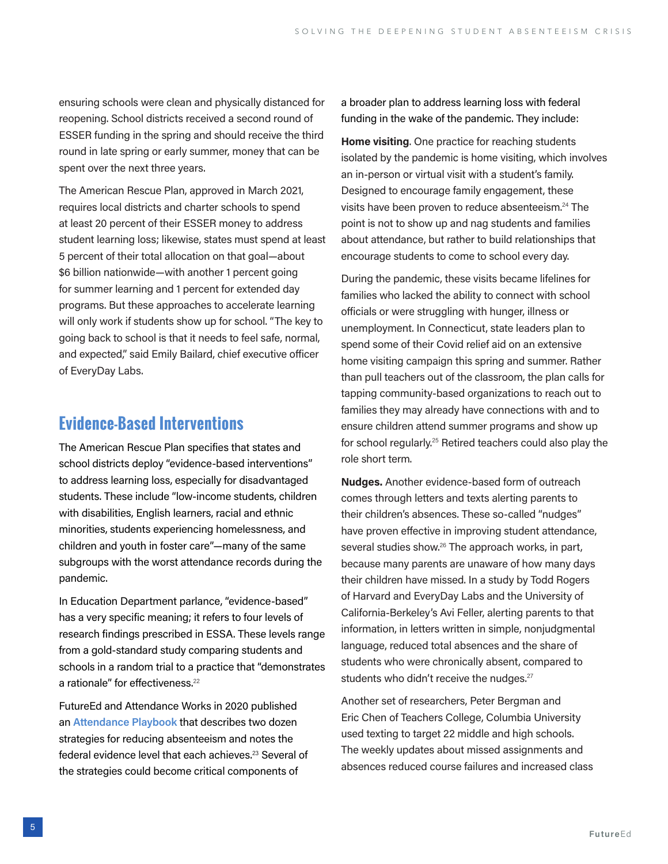ensuring schools were clean and physically distanced for reopening. School districts received a second round of ESSER funding in the spring and should receive the third round in late spring or early summer, money that can be spent over the next three years.

The American Rescue Plan, approved in March 2021, requires local districts and charter schools to spend at least 20 percent of their ESSER money to address student learning loss; likewise, states must spend at least 5 percent of their total allocation on that goal—about \$6 billion nationwide—with another 1 percent going for summer learning and 1 percent for extended day programs. But these approaches to accelerate learning will only work if students show up for school. "The key to going back to school is that it needs to feel safe, normal, and expected," said Emily Bailard, chief executive officer of EveryDay Labs.

### **Evidence-Based Interventions**

The American Rescue Plan specifies that states and school districts deploy "evidence-based interventions" to address learning loss, especially for disadvantaged students. These include "low-income students, children with disabilities, English learners, racial and ethnic minorities, students experiencing homelessness, and children and youth in foster care"—many of the same subgroups with the worst attendance records during the pandemic.

In Education Department parlance, "evidence-based" has a very specific meaning; it refers to four levels of research findings prescribed in ESSA. These levels range from a gold-standard study comparing students and schools in a random trial to a practice that "demonstrates a rationale" for effectiveness.<sup>22</sup>

FutureEd and Attendance Works in 2020 published an **[Attendance Playbook](https://www.future-ed.org/attendance-playbook/)** that describes two dozen strategies for reducing absenteeism and notes the federal evidence level that each achieves.23 Several of the strategies could become critical components of

a broader plan to address learning loss with federal funding in the wake of the pandemic. They include:

**Home visiting**. One practice for reaching students isolated by the pandemic is home visiting, which involves an in-person or virtual visit with a student's family. Designed to encourage family engagement, these visits have been proven to reduce absenteeism.24 The point is not to show up and nag students and families about attendance, but rather to build relationships that encourage students to come to school every day.

During the pandemic, these visits became lifelines for families who lacked the ability to connect with school officials or were struggling with hunger, illness or unemployment. In Connecticut, state leaders plan to spend some of their Covid relief aid on an extensive home visiting campaign this spring and summer. Rather than pull teachers out of the classroom, the plan calls for tapping community-based organizations to reach out to families they may already have connections with and to ensure children attend summer programs and show up for school regularly.25 Retired teachers could also play the role short term.

**Nudges.** Another evidence-based form of outreach comes through letters and texts alerting parents to their children's absences. These so-called "nudges" have proven effective in improving student attendance, several studies show.<sup>26</sup> The approach works, in part, because many parents are unaware of how many days their children have missed. In a study by Todd Rogers of Harvard and EveryDay Labs and the University of California-Berkeley's Avi Feller, alerting parents to that information, in letters written in simple, nonjudgmental language, reduced total absences and the share of students who were chronically absent, compared to students who didn't receive the nudges.<sup>27</sup>

Another set of researchers, Peter Bergman and Eric Chen of Teachers College, Columbia University used texting to target 22 middle and high schools. The weekly updates about missed assignments and absences reduced course failures and increased class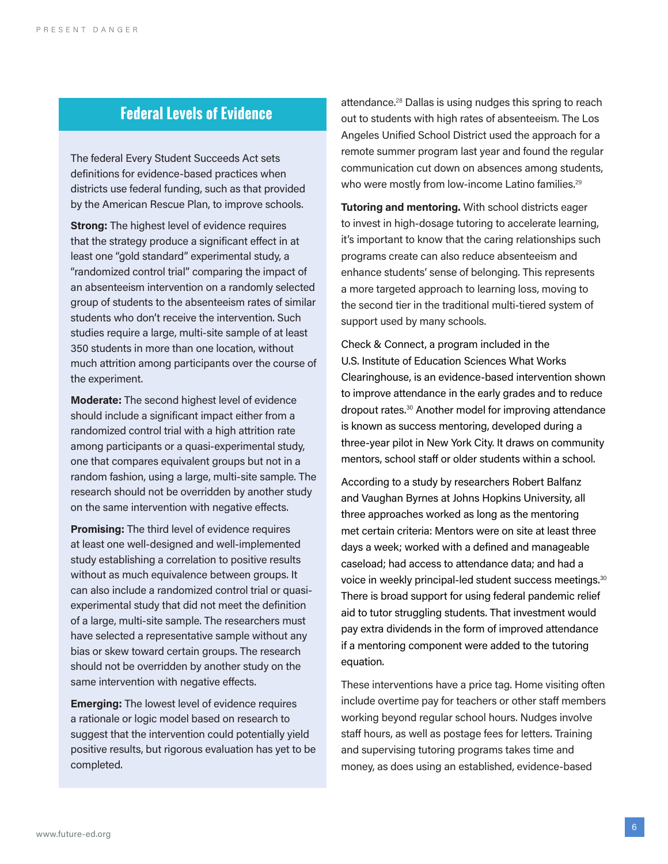#### **Federal Levels of Evidence**

The federal Every Student Succeeds Act sets definitions for evidence-based practices when districts use federal funding, such as that provided by the American Rescue Plan, to improve schools.

**Strong:** The highest level of evidence requires that the strategy produce a significant effect in at least one "gold standard" experimental study, a "randomized control trial" comparing the impact of an absenteeism intervention on a randomly selected group of students to the absenteeism rates of similar students who don't receive the intervention. Such studies require a large, multi-site sample of at least 350 students in more than one location, without much attrition among participants over the course of the experiment.

**Moderate:** The second highest level of evidence should include a significant impact either from a randomized control trial with a high attrition rate among participants or a quasi-experimental study, one that compares equivalent groups but not in a random fashion, using a large, multi-site sample. The research should not be overridden by another study on the same intervention with negative effects.

**Promising:** The third level of evidence requires at least one well-designed and well-implemented study establishing a correlation to positive results without as much equivalence between groups. It can also include a randomized control trial or quasiexperimental study that did not meet the definition of a large, multi-site sample. The researchers must have selected a representative sample without any bias or skew toward certain groups. The research should not be overridden by another study on the same intervention with negative effects.

**Emerging:** The lowest level of evidence requires a rationale or logic model based on research to suggest that the intervention could potentially yield positive results, but rigorous evaluation has yet to be completed.

attendance.28 Dallas is using nudges this spring to reach out to students with high rates of absenteeism. The Los Angeles Unified School District used the approach for a remote summer program last year and found the regular communication cut down on absences among students, who were mostly from low-income Latino families.<sup>29</sup>

**Tutoring and mentoring.** With school districts eager to invest in high-dosage tutoring to accelerate learning, it's important to know that the caring relationships such programs create can also reduce absenteeism and enhance students' sense of belonging. This represents a more targeted approach to learning loss, moving to the second tier in the traditional multi-tiered system of support used by many schools.

Check & Connect, a program included in the U.S. Institute of Education Sciences What Works Clearinghouse, is an evidence-based intervention shown to improve attendance in the early grades and to reduce dropout rates.30 Another model for improving attendance is known as success mentoring, developed during a three-year pilot in New York City. It draws on community mentors, school staff or older students within a school.

According to a study by researchers Robert Balfanz and Vaughan Byrnes at Johns Hopkins University, all three approaches worked as long as the mentoring met certain criteria: Mentors were on site at least three days a week; worked with a defined and manageable caseload; had access to attendance data; and had a voice in weekly principal-led student success meetings.<sup>30</sup> There is broad support for using federal pandemic relief aid to tutor struggling students. That investment would pay extra dividends in the form of improved attendance if a mentoring component were added to the tutoring equation.

These interventions have a price tag. Home visiting often include overtime pay for teachers or other staff members working beyond regular school hours. Nudges involve staff hours, as well as postage fees for letters. Training and supervising tutoring programs takes time and money, as does using an established, evidence-based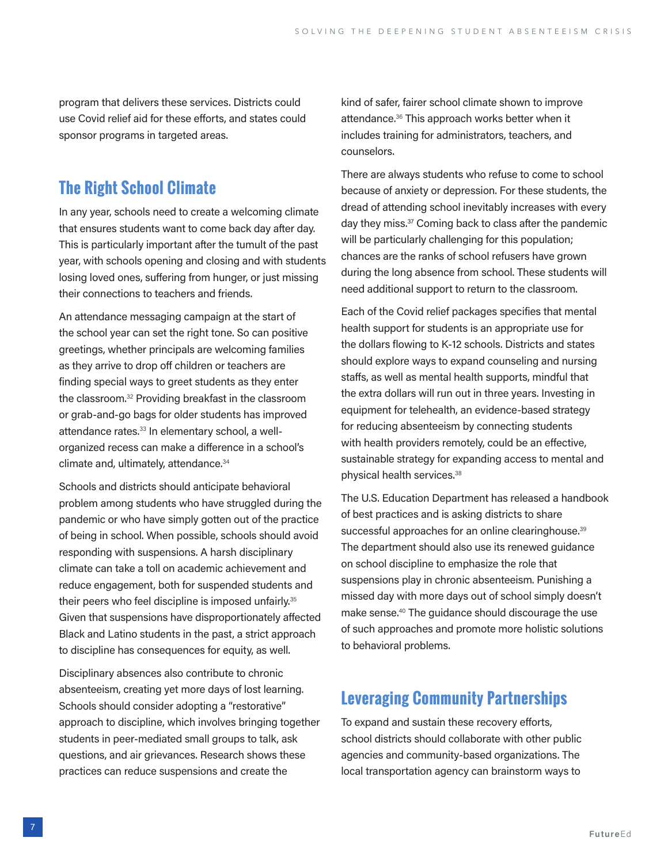program that delivers these services. Districts could use Covid relief aid for these efforts, and states could sponsor programs in targeted areas.

#### **The Right School Climate**

In any year, schools need to create a welcoming climate that ensures students want to come back day after day. This is particularly important after the tumult of the past year, with schools opening and closing and with students losing loved ones, suffering from hunger, or just missing their connections to teachers and friends.

An attendance messaging campaign at the start of the school year can set the right tone. So can positive greetings, whether principals are welcoming families as they arrive to drop off children or teachers are finding special ways to greet students as they enter the classroom.32 Providing breakfast in the classroom or grab-and-go bags for older students has improved attendance rates.<sup>33</sup> In elementary school, a wellorganized recess can make a difference in a school's climate and, ultimately, attendance.<sup>34</sup>

Schools and districts should anticipate behavioral problem among students who have struggled during the pandemic or who have simply gotten out of the practice of being in school. When possible, schools should avoid responding with suspensions. A harsh disciplinary climate can take a toll on academic achievement and reduce engagement, both for suspended students and their peers who feel discipline is imposed unfairly.<sup>35</sup> Given that suspensions have disproportionately affected Black and Latino students in the past, a strict approach to discipline has consequences for equity, as well.

Disciplinary absences also contribute to chronic absenteeism, creating yet more days of lost learning. Schools should consider adopting a "restorative" approach to discipline, which involves bringing together students in peer-mediated small groups to talk, ask questions, and air grievances. Research shows these practices can reduce suspensions and create the

kind of safer, fairer school climate shown to improve attendance.36 This approach works better when it includes training for administrators, teachers, and counselors.

There are always students who refuse to come to school because of anxiety or depression. For these students, the dread of attending school inevitably increases with every day they miss.<sup>37</sup> Coming back to class after the pandemic will be particularly challenging for this population; chances are the ranks of school refusers have grown during the long absence from school. These students will need additional support to return to the classroom.

Each of the Covid relief packages specifies that mental health support for students is an appropriate use for the dollars flowing to K-12 schools. Districts and states should explore ways to expand counseling and nursing staffs, as well as mental health supports, mindful that the extra dollars will run out in three years. Investing in equipment for telehealth, an evidence-based strategy for reducing absenteeism by connecting students with health providers remotely, could be an effective, sustainable strategy for expanding access to mental and physical health services.<sup>38</sup>

The U.S. Education Department has released a handbook of best practices and is asking districts to share successful approaches for an online clearinghouse.<sup>39</sup> The department should also use its renewed guidance on school discipline to emphasize the role that suspensions play in chronic absenteeism. Punishing a missed day with more days out of school simply doesn't make sense.40 The guidance should discourage the use of such approaches and promote more holistic solutions to behavioral problems.

## **Leveraging Community Partnerships**

To expand and sustain these recovery efforts, school districts should collaborate with other public agencies and community-based organizations. The local transportation agency can brainstorm ways to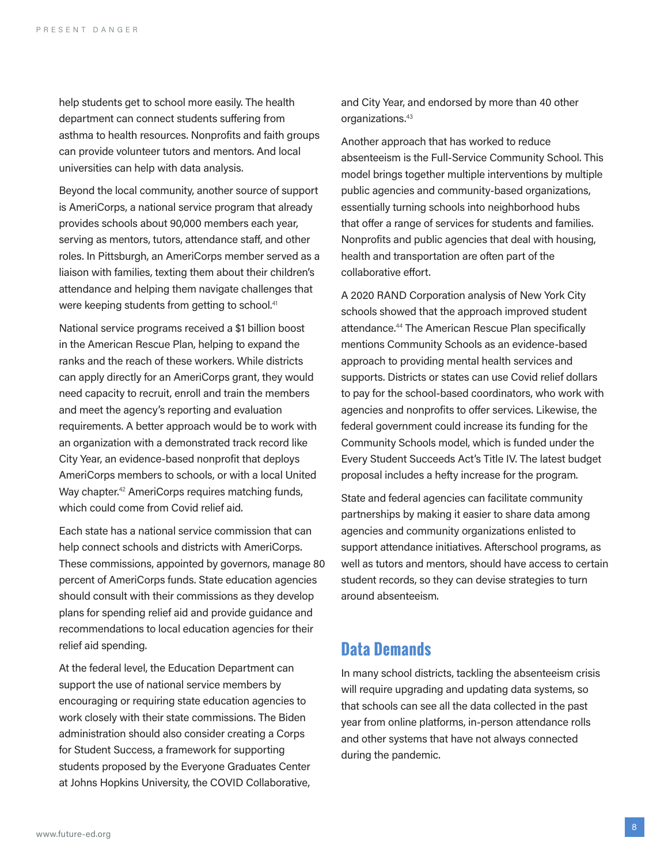help students get to school more easily. The health department can connect students suffering from asthma to health resources. Nonprofits and faith groups can provide volunteer tutors and mentors. And local universities can help with data analysis.

Beyond the local community, another source of support is AmeriCorps, a national service program that already provides schools about 90,000 members each year, serving as mentors, tutors, attendance staff, and other roles. In Pittsburgh, an AmeriCorps member served as a liaison with families, texting them about their children's attendance and helping them navigate challenges that were keeping students from getting to school.<sup>41</sup>

National service programs received a \$1 billion boost in the American Rescue Plan, helping to expand the ranks and the reach of these workers. While districts can apply directly for an AmeriCorps grant, they would need capacity to recruit, enroll and train the members and meet the agency's reporting and evaluation requirements. A better approach would be to work with an organization with a demonstrated track record like City Year, an evidence-based nonprofit that deploys AmeriCorps members to schools, or with a local United Way chapter.<sup>42</sup> AmeriCorps requires matching funds, which could come from Covid relief aid.

Each state has a national service commission that can help connect schools and districts with AmeriCorps. These commissions, appointed by governors, manage 80 percent of AmeriCorps funds. State education agencies should consult with their commissions as they develop plans for spending relief aid and provide guidance and recommendations to local education agencies for their relief aid spending.

At the federal level, the Education Department can support the use of national service members by encouraging or requiring state education agencies to work closely with their state commissions. The Biden administration should also consider creating a Corps for Student Success, a framework for supporting students proposed by the Everyone Graduates Center at Johns Hopkins University, the COVID Collaborative, and City Year, and endorsed by more than 40 other organizations.<sup>43</sup>

Another approach that has worked to reduce absenteeism is the Full-Service Community School. This model brings together multiple interventions by multiple public agencies and community-based organizations, essentially turning schools into neighborhood hubs that offer a range of services for students and families. Nonprofits and public agencies that deal with housing, health and transportation are often part of the collaborative effort.

A 2020 RAND Corporation analysis of New York City schools showed that the approach improved student attendance.44 The American Rescue Plan specifically mentions Community Schools as an evidence-based approach to providing mental health services and supports. Districts or states can use Covid relief dollars to pay for the school-based coordinators, who work with agencies and nonprofits to offer services. Likewise, the federal government could increase its funding for the Community Schools model, which is funded under the Every Student Succeeds Act's Title IV. The latest budget proposal includes a hefty increase for the program.

State and federal agencies can facilitate community partnerships by making it easier to share data among agencies and community organizations enlisted to support attendance initiatives. Afterschool programs, as well as tutors and mentors, should have access to certain student records, so they can devise strategies to turn around absenteeism.

#### **Data Demands**

In many school districts, tackling the absenteeism crisis will require upgrading and updating data systems, so that schools can see all the data collected in the past year from online platforms, in-person attendance rolls and other systems that have not always connected during the pandemic.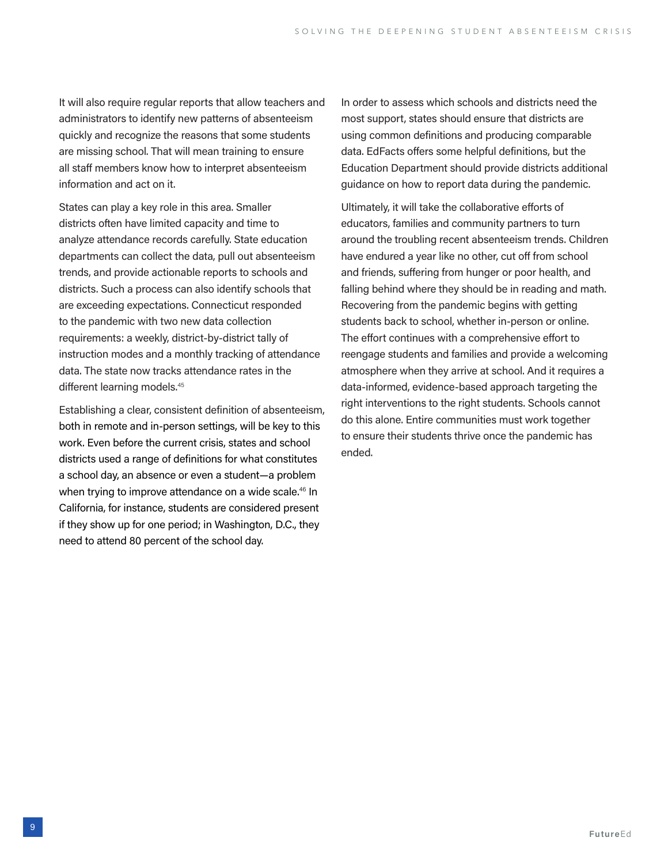It will also require regular reports that allow teachers and administrators to identify new patterns of absenteeism quickly and recognize the reasons that some students are missing school. That will mean training to ensure all staff members know how to interpret absenteeism information and act on it.

States can play a key role in this area. Smaller districts often have limited capacity and time to analyze attendance records carefully. State education departments can collect the data, pull out absenteeism trends, and provide actionable reports to schools and districts. Such a process can also identify schools that are exceeding expectations. Connecticut responded to the pandemic with two new data collection requirements: a weekly, district-by-district tally of instruction modes and a monthly tracking of attendance data. The state now tracks attendance rates in the different learning models.<sup>45</sup>

Establishing a clear, consistent definition of absenteeism, both in remote and in-person settings, will be key to this work. Even before the current crisis, states and school districts used a range of definitions for what constitutes a school day, an absence or even a student—a problem when trying to improve attendance on a wide scale.<sup>46</sup> In California, for instance, students are considered present if they show up for one period; in Washington, D.C., they need to attend 80 percent of the school day.

In order to assess which schools and districts need the most support, states should ensure that districts are using common definitions and producing comparable data. EdFacts offers some helpful definitions, but the Education Department should provide districts additional guidance on how to report data during the pandemic.

Ultimately, it will take the collaborative efforts of educators, families and community partners to turn around the troubling recent absenteeism trends. Children have endured a year like no other, cut off from school and friends, suffering from hunger or poor health, and falling behind where they should be in reading and math. Recovering from the pandemic begins with getting students back to school, whether in-person or online. The effort continues with a comprehensive effort to reengage students and families and provide a welcoming atmosphere when they arrive at school. And it requires a data-informed, evidence-based approach targeting the right interventions to the right students. Schools cannot do this alone. Entire communities must work together to ensure their students thrive once the pandemic has ended.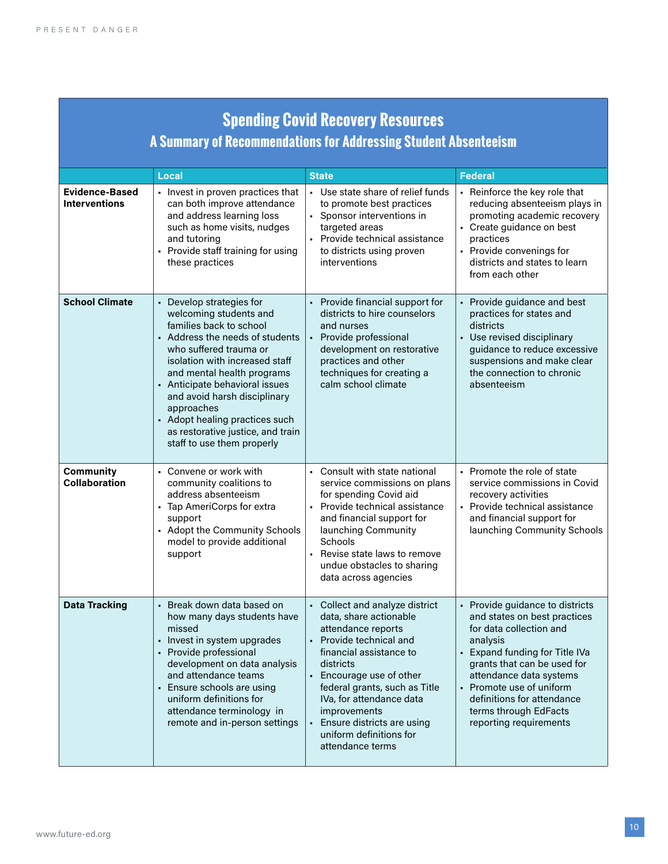| <b>Spending Covid Recovery Resources</b><br><b>A Summary of Recommendations for Addressing Student Absenteeism</b> |                                                                                                                                                                                                                                                                                                                                                                                                 |                                                                                                                                                                                                                                                                                                                                       |                                                                                                                                                                                                                                                                                                                 |
|--------------------------------------------------------------------------------------------------------------------|-------------------------------------------------------------------------------------------------------------------------------------------------------------------------------------------------------------------------------------------------------------------------------------------------------------------------------------------------------------------------------------------------|---------------------------------------------------------------------------------------------------------------------------------------------------------------------------------------------------------------------------------------------------------------------------------------------------------------------------------------|-----------------------------------------------------------------------------------------------------------------------------------------------------------------------------------------------------------------------------------------------------------------------------------------------------------------|
|                                                                                                                    | Local                                                                                                                                                                                                                                                                                                                                                                                           | <b>State</b>                                                                                                                                                                                                                                                                                                                          | <b>Federal</b>                                                                                                                                                                                                                                                                                                  |
| <b>Evidence-Based</b><br><b>Interventions</b>                                                                      | Invest in proven practices that<br>can both improve attendance<br>and address learning loss<br>such as home visits, nudges<br>and tutoring<br>• Provide staff training for using<br>these practices                                                                                                                                                                                             | • Use state share of relief funds<br>to promote best practices<br>Sponsor interventions in<br>targeted areas<br>• Provide technical assistance<br>to districts using proven<br>interventions                                                                                                                                          | • Reinforce the key role that<br>reducing absenteeism plays in<br>promoting academic recovery<br>• Create guidance on best<br>practices<br>• Provide convenings for<br>districts and states to learn<br>from each other                                                                                         |
| <b>School Climate</b>                                                                                              | • Develop strategies for<br>welcoming students and<br>families back to school<br>• Address the needs of students<br>who suffered trauma or<br>isolation with increased staff<br>and mental health programs<br>• Anticipate behavioral issues<br>and avoid harsh disciplinary<br>approaches<br>• Adopt healing practices such<br>as restorative justice, and train<br>staff to use them properly | • Provide financial support for<br>districts to hire counselors<br>and nurses<br>• Provide professional<br>development on restorative<br>practices and other<br>techniques for creating a<br>calm school climate                                                                                                                      | • Provide guidance and best<br>practices for states and<br>districts<br>• Use revised disciplinary<br>guidance to reduce excessive<br>suspensions and make clear<br>the connection to chronic<br>absenteeism                                                                                                    |
| Community<br><b>Collaboration</b>                                                                                  | Convene or work with<br>$\blacksquare$<br>community coalitions to<br>address absenteeism<br>• Tap AmeriCorps for extra<br>support<br>• Adopt the Community Schools<br>model to provide additional<br>support                                                                                                                                                                                    | Consult with state national<br>service commissions on plans<br>for spending Covid aid<br>Provide technical assistance<br>$\blacksquare$<br>and financial support for<br>launching Community<br>Schools<br>- Revise state laws to remove<br>undue obstacles to sharing<br>data across agencies                                         | • Promote the role of state<br>service commissions in Covid<br>recovery activities<br>Provide technical assistance<br>and financial support for<br>launching Community Schools                                                                                                                                  |
| <b>Data Tracking</b>                                                                                               | • Break down data based on<br>how many days students have<br>missed<br>Invest in system upgrades<br>$\blacksquare$<br>• Provide professional<br>development on data analysis<br>and attendance teams<br>Ensure schools are using<br>uniform definitions for<br>attendance terminology in<br>remote and in-person settings                                                                       | • Collect and analyze district<br>data, share actionable<br>attendance reports<br>Provide technical and<br>financial assistance to<br>districts<br>• Encourage use of other<br>federal grants, such as Title<br>IVa, for attendance data<br>improvements<br>Ensure districts are using<br>uniform definitions for<br>attendance terms | • Provide guidance to districts<br>and states on best practices<br>for data collection and<br>analysis<br>• Expand funding for Title IVa<br>grants that can be used for<br>attendance data systems<br>• Promote use of uniform<br>definitions for attendance<br>terms through EdFacts<br>reporting requirements |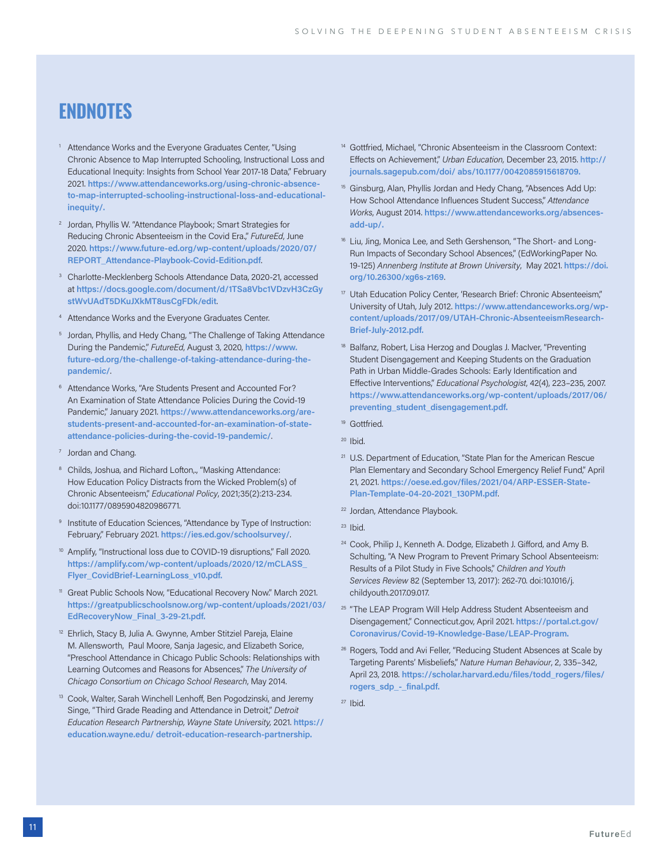## **ENDNOTES**

- <sup>1</sup> Attendance Works and the Everyone Graduates Center, "Using Chronic Absence to Map Interrupted Schooling, Instructional Loss and Educational Inequity: Insights from School Year 2017-18 Data," February 2021. **[https://www.attendanceworks.org/using-chronic-absence](https://www.attendanceworks.org/using-chronic-absence-to-map-interrupted-schooling-instructional-loss-and-educational-inequity/)[to-map-interrupted-schooling-instructional-loss-and-educational](https://www.attendanceworks.org/using-chronic-absence-to-map-interrupted-schooling-instructional-loss-and-educational-inequity/)[inequity/.](https://www.attendanceworks.org/using-chronic-absence-to-map-interrupted-schooling-instructional-loss-and-educational-inequity/)**
- <sup>2</sup> Jordan, Phyllis W. "Attendance Playbook; Smart Strategies for Reducing Chronic Absenteeism in the Covid Era.," *FutureEd*, June 2020. **[https://www.future-ed.org/wp-content/uploads/2020/07/](https://www.future-ed.org/wp-content/uploads/2020/07/REPORT_Attendance-Playbook-Covid-Edition.pdf) [REPORT\\_Attendance-Playbook-Covid-Edition.pdf](https://www.future-ed.org/wp-content/uploads/2020/07/REPORT_Attendance-Playbook-Covid-Edition.pdf)**.
- <sup>3</sup> Charlotte-Mecklenberg Schools Attendance Data, 2020-21, accessed at **[https://docs.google.com/document/d/1TSa8Vbc1VDzvH3CzGy](https://docs.google.com/document/d/1TSa8Vbc1VDzvH3CzGystWvUAdT5DKuJXkMT8usCgFDk/edit) [stWvUAdT5DKuJXkMT8usCgFDk/edit](https://docs.google.com/document/d/1TSa8Vbc1VDzvH3CzGystWvUAdT5DKuJXkMT8usCgFDk/edit)**.
- <sup>4</sup> Attendance Works and the Everyone Graduates Center.
- <sup>5</sup> Jordan, Phyllis, and Hedy Chang, "The Challenge of Taking Attendance During the Pandemic," *FutureEd*, August 3, 2020, **[https://www.](https://www.future-ed.org/the-challenge-of-taking-attendance-during-the-pandemic/) [future-ed.org/the-challenge-of-taking-attendance-during-the](https://www.future-ed.org/the-challenge-of-taking-attendance-during-the-pandemic/)[pandemic/](https://www.future-ed.org/the-challenge-of-taking-attendance-during-the-pandemic/)**.
- <sup>6</sup> Attendance Works, "Are Students Present and Accounted For? An Examination of State Attendance Policies During the Covid-19 Pandemic," January 2021. **[https://www.attendanceworks.org/are](https://www.attendanceworks.org/are-students-present-and-accounted-for-an-examination-of-state-attendance-policies-during-the-covid-19-pandemic/)[students-present-and-accounted-for-an-examination-of-state](https://www.attendanceworks.org/are-students-present-and-accounted-for-an-examination-of-state-attendance-policies-during-the-covid-19-pandemic/)[attendance-policies-during-the-covid-19-pandemic/](https://www.attendanceworks.org/are-students-present-and-accounted-for-an-examination-of-state-attendance-policies-during-the-covid-19-pandemic/)**.
- <sup>7</sup> Jordan and Chang.
- <sup>8</sup> Childs, Joshua, and Richard Lofton,., "Masking Attendance: How Education Policy Distracts from the Wicked Problem(s) of Chronic Absenteeism," *Educational Policy*, 2021;35(2):213-234. doi:10.1177/0895904820986771.
- <sup>9</sup> Institute of Education Sciences, "Attendance by Type of Instruction: February," February 2021. **<https://ies.ed.gov/schoolsurvey/>**.
- <sup>10</sup> Amplify, "Instructional loss due to COVID-19 disruptions," Fall 2020. **[https://amplify.com/wp-content/uploads/2020/12/mCLASS\\_](https://amplify.com/wp-content/uploads/2020/12/mCLASS_Flyer_CovidBrief-LearningLoss_v10.pdf) [Flyer\\_CovidBrief-LearningLoss\\_v10.pdf](https://amplify.com/wp-content/uploads/2020/12/mCLASS_Flyer_CovidBrief-LearningLoss_v10.pdf).**
- <sup>11</sup> Great Public Schools Now, "Educational Recovery Now." March 2021. **[https://greatpublicschoolsnow.org/wp-content/uploads/2021/03/](https://greatpublicschoolsnow.org/wp-content/uploads/2021/03/EdRecoveryNow_Final_3-29-21.pdf) [EdRecoveryNow\\_Final\\_3-29-21.pdf.](https://greatpublicschoolsnow.org/wp-content/uploads/2021/03/EdRecoveryNow_Final_3-29-21.pdf)**
- <sup>12</sup> Ehrlich, Stacy B, Julia A. Gwynne, Amber Stitziel Pareja, Elaine M. Allensworth, Paul Moore, Sanja Jagesic, and Elizabeth Sorice, "Preschool Attendance in Chicago Public Schools: Relationships with Learning Outcomes and Reasons for Absences," *The University of Chicago Consortium on Chicago School Research*, May 2014.
- <sup>13</sup> Cook, Walter, Sarah Winchell Lenhoff, Ben Pogodzinski, and Jeremy Singe, "Third Grade Reading and Attendance in Detroit," *Detroit Education Research Partnership, Wayne State University,* 2021. **[https://](https://education.wayne.edu/ detroit-education-research-partnership) [education.wayne.edu/ detroit-education-research-partnership](https://education.wayne.edu/ detroit-education-research-partnership).**
- <sup>14</sup> Gottfried, Michael, "Chronic Absenteeism in the Classroom Context: Effects on Achievement," *Urban Education,* December 23, 2015. **[http://](http://journals.sagepub.com/doi/ abs/10.1177/0042085915618709) [journals.sagepub.com/doi/ abs/10.1177/0042085915618709](http://journals.sagepub.com/doi/ abs/10.1177/0042085915618709).**
- <sup>15</sup> Ginsburg, Alan, Phyllis Jordan and Hedy Chang, "Absences Add Up: How School Attendance Influences Student Success," *Attendance Works*, August 2014. **[https://www.attendanceworks.org/absences](https://www.attendanceworks.org/absences-add-up/)[add-up/](https://www.attendanceworks.org/absences-add-up/).**
- <sup>16</sup> Liu, Jing, Monica Lee, and Seth Gershenson, "The Short- and Long-Run Impacts of Secondary School Absences," (EdWorkingPaper No. 19-125) *Annenberg Institute at Brown University*, May 2021. **[https://doi.](https://doi.org/10.26300/xg6s-z169) [org/10.26300/xg6s-z169](https://doi.org/10.26300/xg6s-z169)**.
- <sup>17</sup> Utah Education Policy Center, 'Research Brief: Chronic Absenteeism," University of Utah, July 2012. **[https://www.attendanceworks.org/wp](https://www.attendanceworks.org/wp-content/uploads/2017/09/UTAH-Chronic-AbsenteeismResearch-Brief-July-2012.pdf)[content/uploads/2017/09/UTAH-Chronic-AbsenteeismResearch-](https://www.attendanceworks.org/wp-content/uploads/2017/09/UTAH-Chronic-AbsenteeismResearch-Brief-July-2012.pdf)[Brief-July-2012.pdf.](https://www.attendanceworks.org/wp-content/uploads/2017/09/UTAH-Chronic-AbsenteeismResearch-Brief-July-2012.pdf)**
- <sup>18</sup> Balfanz, Robert, Lisa Herzog and Douglas J. MacIver, "Preventing Student Disengagement and Keeping Students on the Graduation Path in Urban Middle-Grades Schools: Early Identification and Effective Interventions," *Educational Psychologist*, 42(4), 223–235, 2007. **[https://www.attendanceworks.org/wp-content/uploads/2017/06/](https://www.attendanceworks.org/wp-content/uploads/2017/06/preventing_student_disengagement.pd) [preventing\\_student\\_disengagement.pdf](https://www.attendanceworks.org/wp-content/uploads/2017/06/preventing_student_disengagement.pd).**
- <sup>19</sup> Gottfried.
- $20$  Ibid.
- <sup>21</sup> U.S. Department of Education, "State Plan for the American Rescue Plan Elementary and Secondary School Emergency Relief Fund," April 21, 2021. **[https://oese.ed.gov/files/2021/04/ARP-ESSER-State-](https://oese.ed.gov/files/2021/04/ARP-ESSER-State-Plan-Template-04-20-2021_130PM.pdf)[Plan-Template-04-20-2021\\_130PM.pdf](https://oese.ed.gov/files/2021/04/ARP-ESSER-State-Plan-Template-04-20-2021_130PM.pdf)**.
- <sup>22</sup> Jordan, Attendance Playbook.
- $23$  Ibid.
- <sup>24</sup> Cook, Philip J., Kenneth A. Dodge, Elizabeth J. Gifford, and Amy B. Schulting, "A New Program to Prevent Primary School Absenteeism: Results of a Pilot Study in Five Schools," *Children and Youth Services Review* 82 (September 13, 2017): 262-70. doi:10.1016/j. childyouth.2017.09.017.
- <sup>25</sup> "The LEAP Program Will Help Address Student Absenteeism and Disengagement," Connecticut.gov, April 2021. **[https://portal.ct.gov/](https://portal.ct.gov/Coronavirus/Covid-19-Knowledge-Base/LEAP-Program) [Coronavirus/Covid-19-Knowledge-Base/LEAP-Program.](https://portal.ct.gov/Coronavirus/Covid-19-Knowledge-Base/LEAP-Program)**
- <sup>26</sup> Rogers, Todd and Avi Feller, "Reducing Student Absences at Scale by Targeting Parents' Misbeliefs," *Nature Human Behaviour*, 2, 335–342, April 23, 2018. **[https://scholar.harvard.edu/files/todd\\_rogers/files/](https://scholar.harvard.edu/files/todd_rogers/files/rogers_sdp_-_final.pdf) [rogers\\_sdp\\_-\\_final.pdf](https://scholar.harvard.edu/files/todd_rogers/files/rogers_sdp_-_final.pdf).**
- $27$  Ibid.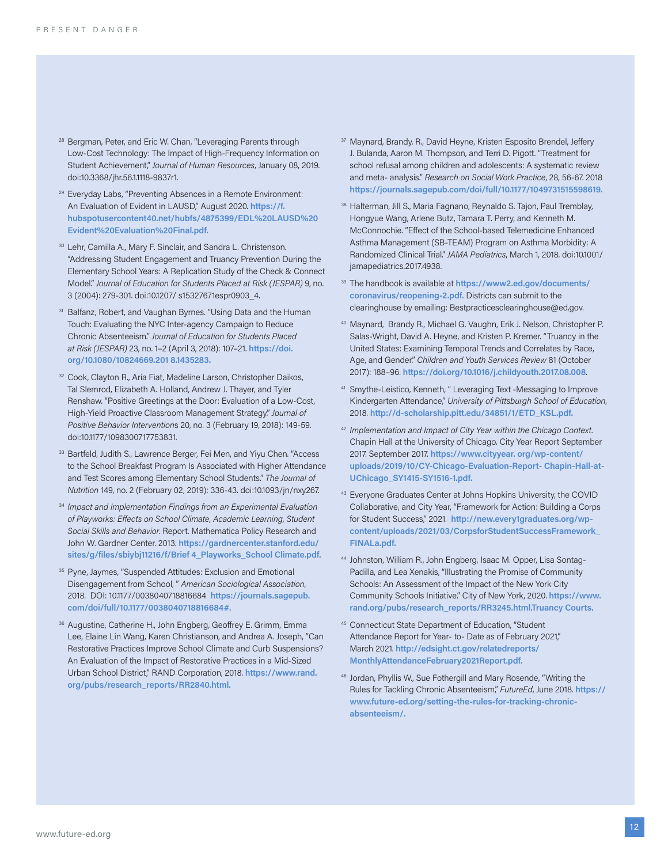- <sup>28</sup> Bergman, Peter, and Eric W. Chan, "Leveraging Parents through Low-Cost Technology: The Impact of High-Frequency Information on Student Achievement," *Journal of Human Resources*, January 08, 2019. doi:10.3368/jhr.56.1.1118-9837r1.
- <sup>29</sup> Everyday Labs, "Preventing Absences in a Remote Environment: An Evaluation of Evident in LAUSD," August 2020. **https://f. hubspotusercontent40.net/hubfs/4875399/EDL%20LAUSD%20 Evident%20Evaluation%20Final.pdf.**
- <sup>30</sup> Lehr, Camilla A., Mary F. Sinclair, and Sandra L. Christenson. "Addressing Student Engagement and Truancy Prevention During the Elementary School Years: A Replication Study of the Check & Connect Model." *Journal of Education for Students Placed at Risk (JESPAR)* 9, no. 3 (2004): 279-301. doi:10.1207/ s15327671espr0903\_4.
- <sup>31</sup> Balfanz, Robert, and Vaughan Byrnes. "Using Data and the Human Touch: Evaluating the NYC Inter-agency Campaign to Reduce Chronic Absenteeism." *Journal of Education for Students Placed at Risk (JESPAR)* 23, no. 1–2 (April 3, 2018): 107–21. **https://doi. org/10.1080/10824669.201 8.1435283.**
- <sup>32</sup> Cook, Clayton R., Aria Fiat, Madeline Larson, Christopher Daikos, Tal Slemrod, Elizabeth A. Holland, Andrew J. Thayer, and Tyler Renshaw. "Positive Greetings at the Door: Evaluation of a Low-Cost, High-Yield Proactive Classroom Management Strategy." *Journal of Positive Behavior Intervention*s 20, no. 3 (February 19, 2018): 149-59. doi:10.1177/1098300717753831.
- <sup>33</sup> Bartfeld, Judith S., Lawrence Berger, Fei Men, and Yiyu Chen. "Access to the School Breakfast Program Is Associated with Higher Attendance and Test Scores among Elementary School Students." *The Journal of Nutrition* 149, no. 2 (February 02, 2019): 336-43. doi:10.1093/jn/nxy267.
- <sup>34</sup> *Impact and Implementation Findings from an Experimental Evaluation of Playworks: Effects on School Climate, Academic Learning, Student Social Skills and Behavior.* Report. Mathematica Policy Research and John W. Gardner Center. 2013. **https://gardnercenter.stanford.edu/ sites/g/files/sbiybj11216/f/Brief 4\_Playworks\_School Climate.pdf.**
- <sup>35</sup> Pyne, Jaymes, "Suspended Attitudes: Exclusion and Emotional Disengagement from School, " *American Sociological Association*, 2018. DOI: 10.1177/0038040718816684 **https://journals.sagepub. com/doi/full/10.1177/0038040718816684#.**
- 36 Augustine, Catherine H., John Engberg, Geoffrey E. Grimm, Emma Lee, Elaine Lin Wang, Karen Christianson, and Andrea A. Joseph, "Can Restorative Practices Improve School Climate and Curb Suspensions? An Evaluation of the Impact of Restorative Practices in a Mid-Sized Urban School District," RAND Corporation, 2018. **https://www.rand. org/pubs/research\_reports/RR2840.html.**
- <sup>37</sup> Maynard, Brandy. R., David Heyne, Kristen Esposito Brendel, Jeffery J. Bulanda, Aaron M. Thompson, and Terri D. Pigott. "Treatment for school refusal among children and adolescents: A systematic review and meta- analysis." *Research on Social Work Practice*, 28, 56-67. 2018 **[https://journals.sagepub.com/doi/full/10.1177/1049731515598619.](https://scholar.harvard.edu/files/todd_rogers/files/rogers_sdp_-_final.pdf)**
- <sup>38</sup> Halterman, Jill S., Maria Fagnano, Reynaldo S. Tajon, Paul Tremblay, Hongyue Wang, Arlene Butz, Tamara T. Perry, and Kenneth M. McConnochie. "Effect of the School-based Telemedicine Enhanced Asthma Management (SB-TEAM) Program on Asthma Morbidity: A Randomized Clinical Trial." *JAMA Pediatrics*, March 1, 2018. doi:10.1001/ jamapediatrics.2017.4938.
- <sup>39</sup> The handbook is available at **[https://www2.ed.gov/documents/](https://www2.ed.gov/documents/coronavirus/reopening-2.pdf) [coronavirus/reopening-2.pdf.](https://www2.ed.gov/documents/coronavirus/reopening-2.pdf)** Districts can submit to the clearinghouse by emailing: Bestpracticesclearinghouse@ed.gov.
- <sup>40</sup> Maynard, Brandy R., Michael G. Vaughn, Erik J. Nelson, Christopher P. Salas-Wright, David A. Heyne, and Kristen P. Kremer. "Truancy in the United States: Examining Temporal Trends and Correlates by Race, Age, and Gender." *Children and Youth Services Review* 81 (October 2017): 188–96. **[https://doi.org/10.1016/j.childyouth.2017.08.008](https://doi.org/10.1016/j.childyouth.2017.08.00)**.
- <sup>41</sup> Smythe-Leistico, Kenneth, " Leveraging Text -Messaging to Improve Kindergarten Attendance," *University of Pittsburgh School of Education*, 2018. **[http://d-scholarship.pitt.edu/34851/1/ETD\\_KSL.pdf.](http://d-scholarship.pitt.edu/34851/1/ETD_KSL.pdf)**
- <sup>42</sup> *Implementation and Impact of City Year within the Chicago Context*. Chapin Hall at the University of Chicago. City Year Report September 2017. September 2017. **[https://www.cityyear. org/wp-content/](https://www.cityyear. org/wp-content/uploads/2019/10/CY-Chicago-Evaluation-Report- Chapin-Hall-at-UChicago_SY1415-SY1516-1.pdf) [uploads/2019/10/CY-Chicago-Evaluation-Report- Chapin-Hall-at-](https://www.cityyear. org/wp-content/uploads/2019/10/CY-Chicago-Evaluation-Report- Chapin-Hall-at-UChicago_SY1415-SY1516-1.pdf)[UChicago\\_SY1415-SY1516-1.pdf](https://www.cityyear. org/wp-content/uploads/2019/10/CY-Chicago-Evaluation-Report- Chapin-Hall-at-UChicago_SY1415-SY1516-1.pdf).**
- 43 Everyone Graduates Center at Johns Hopkins University, the COVID Collaborative, and City Year, "Framework for Action: Building a Corps for Student Success," 2021. **[http://new.every1graduates.org/wp](http://new.every1graduates.org/wp-content/uploads/2021/03/CorpsforStudentSuccessFramework_FINALa.pdf)[content/uploads/2021/03/CorpsforStudentSuccessFramework\\_](http://new.every1graduates.org/wp-content/uploads/2021/03/CorpsforStudentSuccessFramework_FINALa.pdf) [FINALa.pdf](http://new.every1graduates.org/wp-content/uploads/2021/03/CorpsforStudentSuccessFramework_FINALa.pdf).**
- <sup>44</sup> Johnston, William R., John Engberg, Isaac M. Opper, Lisa Sontag-Padilla, and Lea Xenakis, "Illustrating the Promise of Community Schools: An Assessment of the Impact of the New York City Community Schools Initiative." City of New York, 2020. **[https://www.](https://www. rand.org/pubs/research_reports/RR3245.html.Truancy Courts)  [rand.org/pubs/research\\_reports/RR3245.html.Truancy Courts](https://www. rand.org/pubs/research_reports/RR3245.html.Truancy Courts).**
- <sup>45</sup> Connecticut State Department of Education, "Student Attendance Report for Year- to- Date as of February 2021," March 2021. **[http://edsight.ct.gov/relatedreports/](http://edsight.ct.gov/relatedreports/MonthlyAttendanceFebruary2021Report.pdf) [MonthlyAttendanceFebruary2021Report.pdf](http://edsight.ct.gov/relatedreports/MonthlyAttendanceFebruary2021Report.pdf).**
- 46 Jordan, Phyllis W., Sue Fothergill and Mary Rosende, "Writing the Rules for Tackling Chronic Absenteeism," *FutureEd*, June 2018. **[https://](https://www.future-ed.org/setting-the-rules-for-tracking-chronic-absenteeism/) [www.future-ed.org/setting-the-rules-for-tracking-chronic](https://www.future-ed.org/setting-the-rules-for-tracking-chronic-absenteeism/)[absenteeism/](https://www.future-ed.org/setting-the-rules-for-tracking-chronic-absenteeism/).**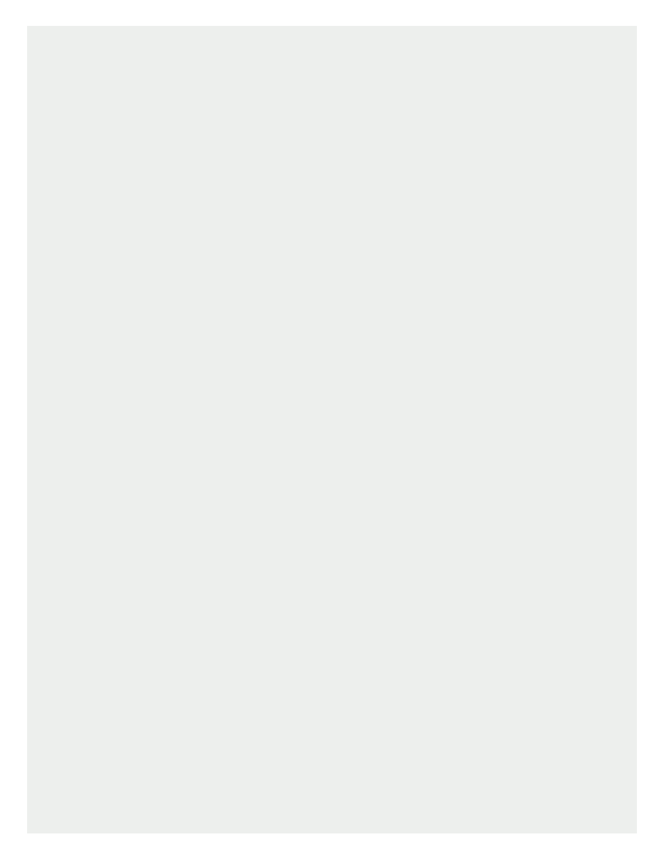